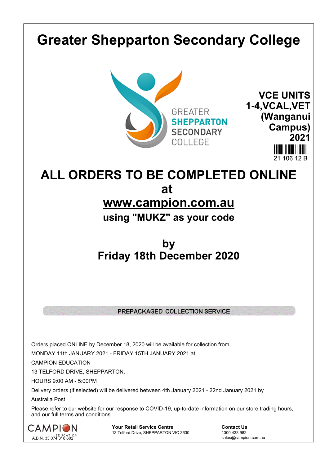# **Greater Shepparton Secondary College**





**ALL ORDERS TO BE COMPLETED ONLINE at www.campion.com.au using "MUKZ" as your code**

## **by Friday 18th December 2020**

#### PREPACKAGED COLLECTION SERVICE

Orders placed ONLINE by December 18, 2020 will be available for collection from

MONDAY 11th JANUARY 2021 - FRIDAY 15TH JANUARY 2021 at:

CAMPION EDUCATION

13 TELFORD DRIVE, SHEPPARTON.

HOURS 9:00 AM - 5:00PM

Delivery orders (if selected) will be delivered between 4th January 2021 - 22nd January 2021 by

Australia Post

Please refer to our website for our response to COVID-19, up-to-date information on our store trading hours, and our full terms and conditions.



**Your Retail Service Centre Contact Us**<br>
13 Telford Drive, SHEPPARTON VIC 3630

1300 433 982 13 Telford Drive, SHEPPARTON VIC 3630

sales@campion.com.au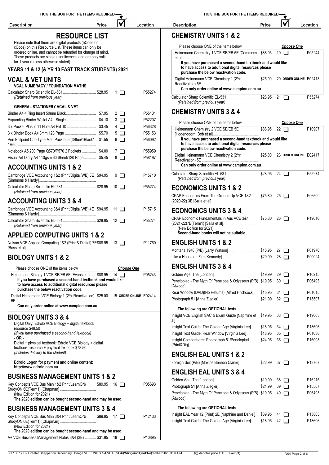| V<br><b>Description</b><br>Price                                                                                                                                                  | Location          | <b>Description</b>                                                                                                                                       | Price      |  |
|-----------------------------------------------------------------------------------------------------------------------------------------------------------------------------------|-------------------|----------------------------------------------------------------------------------------------------------------------------------------------------------|------------|--|
| <b>RESOURCE LIST</b>                                                                                                                                                              |                   | <b>CHEMISTRY UNITS 1 &amp; 2</b>                                                                                                                         |            |  |
| Please note that there are digital products (eCode or                                                                                                                             |                   |                                                                                                                                                          |            |  |
| cCode) on this Resource List. These items can only be<br>ordered online, and cannot be refunded for change of mind.<br>These products are single user licences and are only valid |                   | Please choose ONE of the items below<br>Heinemann Chemistry 1 VCE SB/EB 5E [Commons \$88.95 19                                                           |            |  |
| for 1 year (unless otherwise stated).<br>YEARS 11 & 12 (& YR 10 FAST TRACK STUDENTS) 2021                                                                                         |                   | If you have purchased a second-hand textbook and would<br>to have access to additional digital resources please                                          |            |  |
| <b>VCAL &amp; VET UNITS</b>                                                                                                                                                       |                   | purchase the below reactivation code.<br>Digital Heinemann VCE Chemistry 1 (2Yr                                                                          | \$25.00 20 |  |
| <b>VCAL NUMERACY / FOUNDATION MATHS</b><br>Calculator Sharp Scientific EL-531 \$28.95<br>$1\Box$                                                                                  | P55274            | Can only order online at www.campion.com.au<br>Calculator Sharp Scientific EL-531 \$28.95 21                                                             |            |  |
| (Retained from previous year)<br><b>GENERAL STATIONERY VCAL &amp; VET</b>                                                                                                         |                   | (Retained from previous year)                                                                                                                            |            |  |
| $2 \Box$                                                                                                                                                                          | P55131            | <b>CHEMISTRY UNITS 3 &amp; 4</b>                                                                                                                         |            |  |
| $3\Box$                                                                                                                                                                           | P52207            |                                                                                                                                                          |            |  |
| $4\Box$                                                                                                                                                                           | P56328            | Please choose ONE of the items below<br>Heinemann Chemistry 2 VCE SB/EB 5E                                                                               | \$88.95 22 |  |
| $5\Box$                                                                                                                                                                           | P55153            |                                                                                                                                                          |            |  |
| Pen Ballpoint Cap Type Med Pack of 5 (3Blue/1Black/ \$1.55<br>$6$ $\Box$                                                                                                          | P56092            | If you have purchased a second-hand textbook and would<br>to have access to additional digital resources please<br>purchase the below reactivation code. |            |  |
| Notebook A5 200 Page Q570/P570 2 Pockets  \$4.00<br>$7\Box$                                                                                                                       | P55959            | Digital Heinemann VCE Chemistry 2 (2Yr                                                                                                                   | \$25.00 23 |  |
| Visual Art Diary A4 110gsm 60 Sheet/120 Page \$5.45<br>$8\Box$<br><b>ACCOUNTING UNITS 1 &amp; 2</b>                                                                               | P58197            | Can only order online at www.campion.com.au                                                                                                              |            |  |
| Cambridge VCE Accounting 1&2 (Print/Digital/WB) 3E \$94.95<br>$9\Box$                                                                                                             | P15710            | Calculator Sharp Scientific EL-531 \$28.95 24<br>(Retained from previous year)                                                                           |            |  |
| Calculator Sharp Scientific EL-531 \$28.95 10                                                                                                                                     | P55274            | <b>ECONOMICS UNITS 1 &amp; 2</b>                                                                                                                         |            |  |
| (Retained from previous year)<br><b>ACCOUNTING UNITS 3 &amp; 4</b>                                                                                                                |                   | CPAP Economics From The Ground Up VCE 1&2                                                                                                                | \$75.80 25 |  |
| Cambridge VCE Accounting 3&4 (Print/Digital/WB) 4E \$94.95 11                                                                                                                     | P15715            | <b>ECONOMICS UNITS 3 &amp; 4</b>                                                                                                                         |            |  |
| Calculator Sharp Scientific EL-531 \$28.95 12<br>(Retained from previous year)                                                                                                    | P55274            | CPAP Economic Fundamentals in Aus VCE 3&4<br>(New Edition for 2021)                                                                                      | \$75.80 26 |  |
| <b>APPLIED COMPUTING UNITS 1 &amp; 2</b>                                                                                                                                          |                   | Second-hand books will not be suitable                                                                                                                   |            |  |
| Nelson VCE Applied Computing 1&2 (Print & Digital) 7E\$88.95 13 □                                                                                                                 | P11760            | <b>ENGLISH UNITS 1 &amp; 2</b><br>Montana 1948 (P/B) [Larry Watson] \$16.95 27                                                                           |            |  |
| <b>BIOLOGY UNITS 1 &amp; 2</b>                                                                                                                                                    |                   |                                                                                                                                                          |            |  |
| Please choose ONE of the items below                                                                                                                                              | <b>Choose One</b> | <b>ENGLISH UNITS 3 &amp; 4</b>                                                                                                                           |            |  |
| Heinemann Biology 1 VCE SB/EB 5E [Evans et al]  \$88.95 14                                                                                                                        | P05243            |                                                                                                                                                          |            |  |
| If you have purchased a second-hand textbook and would like<br>to have access to additional digital resources please<br>purchase the below reactivation code.                     |                   | Penelopiad - The Myth Of Penelope & Odysseus (P/B) \$19.95 30                                                                                            |            |  |
| Digital Heinemann VCE Biology 1 (2Yr Reactivation) \$25.00 15 ORDER ONLINE E02414                                                                                                 |                   | Rear Window (DVD)(No Returns) [Alfred Hitchcock]  \$15.95 31                                                                                             |            |  |
| Can only order online at www.campion.com.au                                                                                                                                       |                   | The following are OPTIONAL texts                                                                                                                         |            |  |
| <b>BIOLOGY UNITS 3 &amp; 4</b>                                                                                                                                                    |                   | Insight VCE English SAC & Exam Guide [Naphtine et \$19.95 33                                                                                             |            |  |
| Digital Only: Edrolo VCE Biology + digital textbook<br>resource \$49.50                                                                                                           |                   | Insight Text Guide: The Golden Age [Virginia Lee]  \$18.95 34                                                                                            |            |  |
| (If you have purchased a second-hand textbook)                                                                                                                                    |                   | Insight Text Guide: Rear Window [Virginia Lee] \$18.95 35                                                                                                |            |  |
| - OR -<br>Digital + physical textbook: Edrolo VCE Biology + digital<br>textbook resource + physical textbook \$78.50                                                              |                   | Insight Comparisons: Photograph 51/Penelopiad                                                                                                            | \$24.95 36 |  |
| (Includes delivery to the student)                                                                                                                                                |                   | <b>ENGLISH EAL UNITS 1 &amp; 2</b>                                                                                                                       |            |  |
| Edrolo Logon for payment and online content:<br>http://www.edrolo.com.au                                                                                                          |                   | Foreign Soil (P/B) [Maxine Beneba Clarke] \$22.99 37                                                                                                     |            |  |
| <b>BUSINESS MANAGEMENT UNITS 1 &amp; 2</b>                                                                                                                                        |                   | <b>ENGLISH EAL UNITS 3 &amp; 4</b>                                                                                                                       |            |  |
| \$89.95 16<br>Key Concepts VCE Bus Man 1&2 Print/LearnON/                                                                                                                         | P05693            |                                                                                                                                                          |            |  |
| (New Edition for 2021)<br>The 2020 edition can be bought second-hand and may be used.                                                                                             |                   | Penelopiad - The Myth Of Penelope & Odysseus (P/B) \$19.95 40                                                                                            |            |  |
| <b>BUSINESS MANAGEMENT UNITS 3 &amp; 4</b>                                                                                                                                        |                   | The following are OPTIONAL texts                                                                                                                         |            |  |
| Key Concepts VCE Bus Man 3&4 Print/LearnON/<br>\$89.95 17                                                                                                                         | P12133            | Insight EAL Year 12 (Print) 2E [Napthine and Daniel] \$39.95 41<br>Insight Text Guide: The Golden Age [Virginia Lee]  \$18.95 42                         |            |  |
| (New Edition for 2021)                                                                                                                                                            |                   |                                                                                                                                                          |            |  |
| The 2020 edition can be bought second-hand and may be used.                                                                                                                       |                   |                                                                                                                                                          |            |  |

| TICK THE BOX FOR THE ITEMS REQUIRED - |       |          |
|---------------------------------------|-------|----------|
| <b>Description</b>                    | Price | Location |
| <b>CHEMISTRY UNITS 1 &amp; 2</b>      |       |          |

| Please choose ONE of the items below                                                                                                                          |         |     | <b>Choose One</b>      |        |
|---------------------------------------------------------------------------------------------------------------------------------------------------------------|---------|-----|------------------------|--------|
| Heinemann Chemistry 1 VCE SB/EB 5E [Commons \$88.95 19                                                                                                        |         |     |                        | P05244 |
|                                                                                                                                                               |         |     |                        |        |
| If you have purchased a second-hand textbook and would like<br>to have access to additional digital resources please<br>purchase the below reactivation code. |         |     |                        |        |
| Digital Heinemann VCE Chemistry 1 (2Yr                                                                                                                        | \$25.00 |     | 20 ORDER ONLINE E02413 |        |
| Can only order online at www.campion.com.au                                                                                                                   |         |     |                        |        |
| Calculator Sharp Scientific EL-531 \$28.95<br>(Retained from previous year)                                                                                   |         | -21 |                        | P55274 |

### **CHE** 3 & 4

| Please choose ONE of the items below                                                                                                                          |         |    | <u>Choose One</u>      |                    |
|---------------------------------------------------------------------------------------------------------------------------------------------------------------|---------|----|------------------------|--------------------|
| Heinemann Chemistry 2 VCE SB/EB 5E                                                                                                                            | \$88.95 | 22 | $\perp$                | P10907             |
| If you have purchased a second-hand textbook and would like<br>to have access to additional digital resources please<br>purchase the below reactivation code. |         |    |                        |                    |
| Digital Heinemann VCE Chemistry 2 (2Yr<br>Can only order online at www.campion.com.au                                                                         | \$25.00 |    | 23 ORDER ONLINE E02417 |                    |
|                                                                                                                                                               |         |    |                        |                    |
| Calculator Sharp Scientific EL-531 \$28.95<br>(Retained from previous year)                                                                                   |         |    | 24 $\Box$              | P55274             |
| <b>ECONOMICS UNITS 1 &amp; 2</b>                                                                                                                              |         |    |                        |                    |
| CPAP Economics From The Ground Up VCE 1&2                                                                                                                     | \$75.80 |    | $25 \Box$              | P06509             |
| <b>ECONOMICS UNITS 3 &amp; 4</b>                                                                                                                              |         |    |                        |                    |
| CPAP Economic Fundamentals in Aus VCE 3&4<br>(New Edition for 2021)<br>Second-hand books will not be suitable                                                 | \$75.80 | 26 | $\mathbf{L}$           | P19610             |
| <b>ENGLISH UNITS 1 &amp; 2</b>                                                                                                                                |         |    |                        |                    |
| Montana 1948 (P/B) [Larry Watson] \$16.95                                                                                                                     |         |    | $27 \mid$              | P01970             |
|                                                                                                                                                               |         |    | $28$ $\Box$            | P00024             |
| <b>ENGLISH UNITS 3 &amp; 4</b>                                                                                                                                |         |    |                        |                    |
|                                                                                                                                                               |         |    | $29 \mid \mid$         | P <sub>16215</sub> |
| Penelopiad - The Myth Of Penelope & Odysseus (P/B) \$19.95                                                                                                    |         |    | $30$ $\Box$            | P06493             |
| Rear Window (DVD)(No Returns) [Alfred Hitchcock]  \$15.95                                                                                                     |         |    | 31 ⊔                   | P01615             |
|                                                                                                                                                               |         |    | $32 \Box$              | P15507             |
| The following are OPTIONAL texts                                                                                                                              |         |    |                        |                    |
| Insight VCE English SAC & Exam Guide [Naphtine et \$19.95                                                                                                     |         |    | $33 \Box$              | P19063             |
| Insight Text Guide: The Golden Age [Virginia Lee] \$18.95                                                                                                     |         |    | 34 I I                 | P13606             |
| Insight Text Guide: Rear Window [Virginia Lee] \$18.95                                                                                                        |         |    | $35$ $\Box$            | P01030             |
| Insight Comparisons: Photograph 51/Penelopiad                                                                                                                 | \$24.95 |    | 36 I I                 | P16008             |
| <b>ENGLISH EAL UNITS 1 &amp; 2</b>                                                                                                                            |         |    |                        |                    |
| Foreign Soil (P/B) [Maxine Beneba Clarke] \$22.99                                                                                                             |         |    | $37$ $\Box$            | P13767             |
| <b>ENGLISH EAL UNITS 3 &amp; 4</b>                                                                                                                            |         |    |                        |                    |
|                                                                                                                                                               |         |    | 38 □                   | P16215             |
|                                                                                                                                                               |         |    | $39$ $\Box$            | P15507             |
| Penelopiad - The Myth Of Penelope & Odysseus (P/B) \$19.95                                                                                                    |         |    | 40 1                   | P06493             |
| The following are OPTIONAL texts                                                                                                                              |         |    |                        |                    |
| Insight EAL Year 12 (Print) 2E [Napthine and Daniel] \$39.95                                                                                                  |         |    | 41 1                   | P15803             |
| Insight Text Guide: The Golden Age [Virginia Lee]  \$18.95                                                                                                    |         |    | 42 □                   | P13606             |
|                                                                                                                                                               |         |    |                        |                    |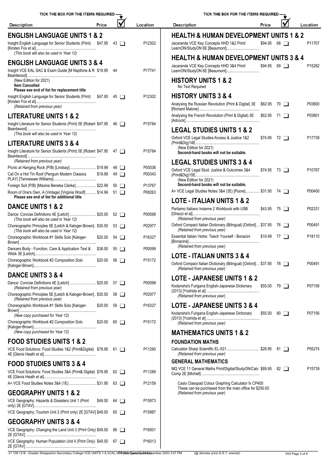| lV<br>Price<br>Location<br><b>Description</b><br><b>Description</b>                                                                                                                                | Price              |  | Location |
|----------------------------------------------------------------------------------------------------------------------------------------------------------------------------------------------------|--------------------|--|----------|
| <b>ENGLISH LANGUAGE UNITS 1 &amp; 2</b><br><b>HEALTH &amp; HUMAN DEVELOPMENT UNITS 1 &amp; 2</b>                                                                                                   |                    |  |          |
| Insight English Language for Senior Students (Print) \$47.95 43<br>P12302<br>Jacaranda VCE Key Concepts HHD 1&2 Print/<br>(This book will also be used in Year 12)                                 | $$94.95$ 68 $\Box$ |  | P11707   |
| <b>HEALTH &amp; HUMAN DEVELOPMENT UNITS 3 &amp; 4</b>                                                                                                                                              |                    |  |          |
| <b>ENGLISH LANGUAGE UNITS 3 &amp; 4</b><br>Jacaranda VCE Key Concepts HHD 3&4 Print/<br>Insight VCE EAL SAC & Exam Guide [M Napthine & R \$19.95 44<br>P17741<br>LearnON/StudyON 6E [Beaumont]     | $$94.95$ 69 $\Box$ |  | P15282   |
| <b>HISTORY UNITS 1 &amp; 2</b><br>(New Edition for 2021)<br><b>Item Cancelled</b><br>No Text Required                                                                                              |                    |  |          |
| Please see end of list for replacement title<br><b>HISTORY UNITS 3 &amp; 4</b><br>Insight English Language for Senior Students (Print) \$47.95 45<br>P12302                                        |                    |  |          |
| Analysing the Russian Revolution (Print & Digital) 3E \$62.95 70<br>(Retained from previous year)                                                                                                  |                    |  | P03800   |
| Analysing the French Revolution (Print & Digital) 3E \$62.95 71<br><b>LITERATURE UNITS 1 &amp; 2</b>                                                                                               |                    |  | P03801   |
| Insight Literature for Senior Students (Print) 5E [Robert \$47.95 46<br>P15784                                                                                                                     |                    |  |          |
| <b>LEGAL STUDIES UNITS 1 &amp; 2</b><br>(This book will also be used in Year 12)                                                                                                                   |                    |  |          |
| Oxford VCE Legal Studies: Access & Justice 1&2<br><b>LITERATURE UNITS 3 &amp; 4</b>                                                                                                                | $$74.95$ 72 $\Box$ |  | P17739   |
| (New Edition for 2021)<br>P15784<br>Insight Literature for Senior Students (Print) 5E [Robert \$47.95 47 □<br>Second-hand books will not be suitable.                                              |                    |  |          |
| (Retained from previous year)<br><b>LEGAL STUDIES UNITS 3 &amp; 4</b>                                                                                                                              |                    |  |          |
| Picnic at Hanging Rock (P/B) [Lindsay] \$19.99<br>P05536<br>48 □<br>Oxford VCE Legal Stud: Justice & Outcomes 3&4                                                                                  | $$74.95$ 73 $\Box$ |  | P10787   |
| Cat On a Hot Tin Roof (Penguin Modern Classics<br>\$19.99<br>P00343<br>$49$ $\Box$<br>(New Edition for 2021)                                                                                       |                    |  |          |
| Second-hand books will not be suitable.<br>Foreign Soil (P/B) [Maxine Beneba Clarke] \$22.99<br>P13767<br>$50$ $\Box$<br>A+ VCE Legal Studies Notes 3&4 (3E) [Poore] \$31.95 74                    |                    |  | P00400   |
| Room of One's Own, A (Vintage) [Virginia Woolf]  \$14.99 51<br>P08263<br>Please see end of list for additional title                                                                               |                    |  |          |
| <b>LOTE - ITALIAN UNITS 1 &amp; 2</b><br><b>DANCE UNITS 1 &amp; 2</b><br>Parliamo Italiano Insieme 2 Workbook with USB                                                                             | $$43.95$ 75 $\Box$ |  | P02331   |
| Dance: Concise Definitions 4E [Leitch]  \$25.00 52<br>P00598<br>(Retained from previous year)<br>(This book will also be used in Year 12)                                                          |                    |  |          |
| Oxford Compact Italian Dictionary (Bilingual) [Oxford]  \$37.95 76<br>Choreographic Principles 5E [Leitch & Kaloger-Brown]. \$30.50 53<br>P02977<br>(Retained from previous year)                  |                    |  | P00491   |
| (This book will also be used in Year 12)<br>Essential Italian Verbs: Teach Yourself - Bonacini<br>Choreographic Workbook #1 Skills Solo [Kaloger-<br>P16327<br>\$20.00<br>$54$ $\Box$              | $$19.99$ 77 $\Box$ |  | P18110   |
| (Retained from previous year)<br>Dancers Body - Function, Care & Application Text & \$38.00 55<br>P00599                                                                                           |                    |  |          |
| OTE - ITALIAN UNITS 3 & 4<br>Choreographic Workbook #2 Composition Solo<br>P15172<br>$$20.00$ 56 $\Box$                                                                                            |                    |  |          |
| Oxford Compact Italian Dictionary (Bilingual) [Oxford]  \$37.95 78<br>(Retained from previous vear)                                                                                                |                    |  | P00491   |
| <b>DANCE UNITS 3 &amp; 4</b><br><b>LOTE - JAPANESE UNITS 1 &amp; 2</b>                                                                                                                             |                    |  |          |
| Dance: Concise Definitions 4E [Leitch]  \$25.00 57<br>P00598<br>Kodansha's Furigana English-Japanese Dictionary<br>(Retained from previous year)                                                   | $$55.00$ 79 $\Box$ |  | P07156   |
| Choreographic Principles 5E [Leitch & Kaloger-Brown]. \$30.50 58<br>P02977<br>(Retained from previous year)<br>(Retained from previous year)                                                       |                    |  |          |
| <b>LOTE - JAPANESE UNITS 3 &amp; 4</b><br>Choreographic Workbook #1 Skills Solo [Kaloger-<br>P16327<br>$$20.00$ 59 $\Box$                                                                          |                    |  |          |
| Kodansha's Furigana English-Japanese Dictionary<br>(New copy purchased for Year 12)<br>P15172<br>Choreographic Workbook #2 Composition Solo<br>$$20.00$ 60 $\Box$<br>(Retained from previous year) | \$55.00 80         |  | P07156   |
| (New copy purchased for Year 12)<br><b>MATHEMATICS UNITS 1 &amp; 2</b>                                                                                                                             |                    |  |          |
| <b>FOOD STUDIES UNITS 1 &amp; 2</b><br><b>FOUNDATION MATHS</b>                                                                                                                                     |                    |  |          |
| Calculator Sharp Scientific EL-531 \$28.95 81 □<br>VCE Food Solutions: Food Studies 1&2 (Print&Digital) \$78.95 61 □<br>P11290<br>(Retained from previous year)                                    |                    |  | P55274   |
| <b>GENERAL MATHEMATICS</b><br><b>FOOD STUDIES UNITS 3 &amp; 4</b>                                                                                                                                  |                    |  |          |
| MQ VCE 11 General Maths Print/Digital/StudyON/Calc \$89.95 82<br>VCE Food Solutions: Food Studies 3&4 (Print& Digital) \$78.95 62<br>P11289                                                        |                    |  | P15739   |
| A+ VCE Food Studies Notes 3&4 (1E) \$31.95 63<br>Casio Classpad Colour Graphing Calculator fx CP400<br>P12159                                                                                      |                    |  |          |
| These can be purchased from the main office for \$250.00<br><b>GEOGRAPHY UNITS 1 &amp; 2</b><br>(Retained from previous year)                                                                      |                    |  |          |
| VCE Geography: Hazards & Disasters Unit 1 (Print<br>$$49.50$ 64 $\Box$<br>P15973                                                                                                                   |                    |  |          |
| VCE Geography: Tourism Unit 2 (Print only) 2E [GTAV] \$49.50 65<br>P15987                                                                                                                          |                    |  |          |
| <b>GEOGRAPHY UNITS 3 &amp; 4</b>                                                                                                                                                                   |                    |  |          |
| VCE Geography: Changing the Land Unit 3 (Print Only) \$49.50 66<br>P16001                                                                                                                          |                    |  |          |
| VCE Geography: Human Population Unit 4 (Print Only) \$49.50 67<br>P16013                                                                                                                           |                    |  |          |

21 106 12 B - Greater Shepparton Secondary College VCE UNITS 1-4, VCAL, VEnnted: The VCA Page 3 of 6 Campus College 3 of 6 Campus College 3 of 6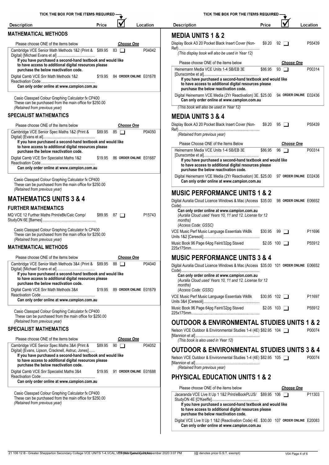| TICK THE BOX FOR THE ITEMS REQUIRED -                                                                                                                                          |         |                                |          |        | <b>TICK THE</b>                                                                                          |
|--------------------------------------------------------------------------------------------------------------------------------------------------------------------------------|---------|--------------------------------|----------|--------|----------------------------------------------------------------------------------------------------------|
| <b>Description</b>                                                                                                                                                             | Price   |                                | Location |        | <b>Description</b>                                                                                       |
| <b>MATHEMATICAL METHODS</b>                                                                                                                                                    |         |                                |          |        | <b>MEDIA UNITS 1 &amp;</b>                                                                               |
| Please choose ONE of the items below                                                                                                                                           |         | <b>Choose One</b>              |          |        | Display Book A3 20 Pocket Bla                                                                            |
| Cambridge VCE Senior Math Methods 1&2 (Print & \$89.95                                                                                                                         |         | $83$ $\Box$                    |          | P04042 | (This display book will also                                                                             |
| If you have purchased a second-hand textbook and would like<br>to have access to additional digital resources please<br>purchase the below reactivation code.                  |         |                                |          |        | Please choose ONE of the<br>Heinemann Media VCE Unit                                                     |
| Digital Camb VCE Snr Math Methods 1&2<br>Can only order online at www.campion.com.au                                                                                           |         | \$19.95 84 ORDER ONLINE E01678 |          |        | [Dunscombe et al]<br>If you have purchased<br>to have access to addit<br>purchase the below rea          |
| Casio Classpad Colour Graphing Calculator fx CP400<br>These can be purchased from the main office for \$250.00<br>(Retained from previous year)                                |         |                                |          |        | Digital Heinemann VCE Med<br>Can only order online a<br>(This book will also be use                      |
| <b>SPECIALIST MATHEMATICS</b>                                                                                                                                                  |         |                                |          |        | <b>MEDIA UNITS 3 &amp;</b>                                                                               |
| Please choose ONE of the items below                                                                                                                                           |         | <b>Choose One</b>              |          |        | Display Book A3 20 Pocket Bla                                                                            |
| Cambridge VCE Senior Spec Maths 1&2 (Print &                                                                                                                                   |         | $$89.95$ 85 $\Box$             |          | P04050 | Retained from previous ye                                                                                |
| If you have purchased a second-hand textbook and would like<br>to have access to additional digital resources please<br>purchase the below reactivation code.                  |         |                                |          |        | Please Choose ONE of th<br>Heinemann Media VCE Unit                                                      |
| Digital Camb VCE Snr Specialist Maths 1&2<br>Can only order online at www.campion.com.au                                                                                       |         | \$19.95 86 ORDER ONLINE E01687 |          |        | [Dunscombe et al]<br>If you have purchased<br>to have access to addit<br>purchase the below rea          |
| Casio Classpad Colour Graphing Calculator fx CP400<br>These can be purchased from the main office for \$250.00                                                                 |         |                                |          |        | Digital Heinemann VCE Med<br>Can only order online a                                                     |
| (Retained from previous year)                                                                                                                                                  |         |                                |          |        | <b>MUSIC PERFORM</b>                                                                                     |
| <b>MATHEMATICS UNITS 3 &amp; 4</b>                                                                                                                                             |         |                                |          |        | Digital Auralia Cloud Licence V                                                                          |
| <b>FURTHER MATHEMATICS</b><br>MQ VCE 12 Further Maths Print/eBk/Calc Comp/                                                                                                     | \$89.95 | $87$ $\Box$                    |          | P15743 | Can only order online at<br>(Auralia Cloud used Years<br>months)<br>(Access Code: GSSC)                  |
| Casio Classpad Colour Graphing Calculator fx CP400<br>These can be purchased from the main office for \$250.00<br>(Retained from previous year)                                |         |                                |          |        | VCE Music Perf Music Langua<br>Units 1&2 [Ceresoli]                                                      |
| <b>MATHEMATICAL METHODS</b>                                                                                                                                                    |         |                                |          |        | Music Book 96 Page 64pg Feir<br>225x175mm                                                                |
| Please choose ONE of the items below                                                                                                                                           |         | <b>Choose One</b>              |          |        | <b>MUSIC PERFORM</b>                                                                                     |
| Cambridge VCE Senior Math Methods 3&4 (Print & \$89.95<br>If you have purchased a second-hand textbook and would like<br>to have access to additional digital resources please |         | 88 T                           |          | P04040 | Digital Auralia Cloud Licence V<br>Can only order online at<br>(Auralia Cloud used Years                 |
| purchase the below reactivation code.<br>Digital Camb VCE Snr Math Methods 3&4                                                                                                 | \$19.95 | 89 ORDER ONLINE E01679         |          |        | months)<br>(Access Code: GSSC)                                                                           |
| Can only order online at www.campion.com.au                                                                                                                                    |         |                                |          |        | VCE Music Perf Music Langua<br>Units 3&4 [Ceresoli]                                                      |
| Casio Classpad Colour Graphing Calculator fx CP400<br>These can be purchased from the main office for \$250.00                                                                 |         |                                |          |        | Music Book 96 Page 64pg Feir<br>225x175mm                                                                |
| (Retained from previous year)                                                                                                                                                  |         |                                |          |        | <b>OUTDOOR &amp; ENV</b>                                                                                 |
| <b>SPECIALIST MATHEMATICS</b>                                                                                                                                                  |         |                                |          |        | Nelson VCE Outdoor & Enviror<br>[Mannion et al]                                                          |
| Please choose ONE of the items below<br>Cambridge VCE Senior Spec Maths 3&4 (Print &                                                                                           | \$89.95 | <b>Choose One</b><br>90        |          | P04052 | (This book is also used in                                                                               |
| Digital) [Evans, Lipson, Cracknell, Astruc, Jones]<br>If you have purchased a second-hand textbook and would like                                                              |         |                                |          |        | <b>OUTDOOR &amp; ENV</b><br>Nelson VCE Outdoor & Enviror                                                 |
| to have access to additional digital resources please<br>purchase the below reactivation code.                                                                                 |         |                                |          |        | [Mannion et al]                                                                                          |
| Digital Camb VCE Snr Specialist Maths 3&4                                                                                                                                      | \$19.95 | 91 ORDER ONLINE E01688         |          |        | (Retained from previous ye<br><b>PHYSICAL EDUC/</b>                                                      |
| Can only order online at www.campion.com.au                                                                                                                                    |         |                                |          |        |                                                                                                          |
| Casio Classpad Colour Graphing Calculator fx CP400<br>These can be purchased from the main office for \$250.00<br>(Retained from previous year)                                |         |                                |          |        | Please choose ONE of the<br>Jacaranda VCE Live It Up 1<br>StudyON 4E [O'Keeffe]<br>If you have purchased |

| TICK THE BOX FOR THE ITEMS REQUIRED                                                                                                                                                                     |                     |    |                        |          |
|---------------------------------------------------------------------------------------------------------------------------------------------------------------------------------------------------------|---------------------|----|------------------------|----------|
| Description                                                                                                                                                                                             | Price               |    |                        | Location |
| <b>MEDIA UNITS 1 &amp; 2</b>                                                                                                                                                                            |                     |    |                        |          |
| Display Book A3 20 Pocket Black Insert Cover (Non-                                                                                                                                                      | \$9.20              | 92 |                        | P55439   |
| (This display book will also be used in Year 12)                                                                                                                                                        |                     |    |                        |          |
| Please choose ONE of the items below                                                                                                                                                                    |                     |    | <b>Choose One</b>      |          |
| Heinemann Media VCE Units 1-4 SB/EB 3E<br>If you have purchased a second-hand textbook and would like<br>to have access to additional digital resources please<br>purchase the below reactivation code. | \$86.95             |    | $93$ $\Box$            | P00314   |
| Digital Heinemann VCE Media (2Yr Reactivation) 3E. \$25.00<br>Can only order online at www.campion.com.au                                                                                               |                     |    | 94 ORDER ONLINE E02436 |          |
| (This book will also be used in Year 12)                                                                                                                                                                |                     |    |                        |          |
| <b>MEDIA UNITS 3 &amp; 4</b>                                                                                                                                                                            |                     |    |                        |          |
| Display Book A3 20 Pocket Black Insert Cover (Non-                                                                                                                                                      | \$9.20              |    | $95$ $\Box$            | P55439   |
| (Retained from previous year)                                                                                                                                                                           |                     |    |                        |          |
| Please Choose ONE of the Items Below                                                                                                                                                                    |                     |    | <b>Choose One</b>      |          |
| Heinemann Media VCE Units 1-4 SB/EB 3E                                                                                                                                                                  | \$86.95             | 96 |                        | P00314   |
| If you have purchased a second-hand textbook and would like<br>to have access to additional digital resources please<br>purchase the below reactivation code.                                           |                     |    |                        |          |
| Digital Heinemann VCE Media (2Yr Reactivation) 3E. \$25.00<br>Can only order online at www.campion.com.au                                                                                               |                     |    | 97 ORDER ONLINE E02436 |          |
| <b>MUSIC PERFORMANCE UNITS 1 &amp; 2</b>                                                                                                                                                                |                     |    |                        |          |
| Digital Auralia Cloud Licence Windows & Mac (Access \$35.00                                                                                                                                             |                     |    | 98 ORDER ONLINE E06652 |          |
| Can only order online at www.campion.com.au<br>(Auralia Cloud used Years 10, 11 and 12. License for 12<br>months)<br>(Access Code: GSSC)                                                                |                     |    |                        |          |
| VCE Music Perf Music Language Essentials WkBk                                                                                                                                                           | \$30.95             | 99 |                        | P11696   |
| Music Book 96 Page 64pg Feint/32pg Staved                                                                                                                                                               | \$2.05 100          |    |                        | P55912   |
| <b>MUSIC PERFORMANCE UNITS 3 &amp; 4</b>                                                                                                                                                                |                     |    |                        |          |
| Digital Auralia Cloud Licence Windows & Mac (Access \$35.00 101 ORDER ONLINE E06652                                                                                                                     |                     |    |                        |          |
| Can only order online at www.campion.com.au<br>(Auralia Cloud used Years 10, 11 and 12. License for 12<br>months)<br>(Access Code: GSSC)                                                                |                     |    |                        |          |
| VCE Music Perf Music Language Essentials WkBk                                                                                                                                                           | $$30.95$ 102 $\Box$ |    |                        | P11697   |
| Music Book 96 Page 64pg Feint/32pg Staved                                                                                                                                                               | $$2.05$ 103 $\Box$  |    |                        | P55912   |
| <b>OUTDOOR &amp; ENVIRONMENTAL STUDIES UNITS 1 &amp; 2</b>                                                                                                                                              |                     |    |                        |          |
| Nelson VCE Outdoor & Environmental Studies 1-4 (4E) \$82.95 104 □<br>(This book is also used in Year 12)                                                                                                |                     |    |                        | P00074   |
| <b>OUTDOOR &amp; ENVIRONMENTAL STUDIES UNITS 3 &amp; 4</b>                                                                                                                                              |                     |    |                        |          |
| Nelson VCE Outdoor & Environmental Studies 1-4 (4E) \$82.95 105<br>(Retained from previous year)                                                                                                        |                     |    |                        | P00074   |
| <b>PHYSICAL EDUCATION UNITS 1 &amp; 2</b>                                                                                                                                                               |                     |    |                        |          |
| Please choose ONE of the items below                                                                                                                                                                    |                     |    | <b>Choose One</b>      |          |
| Jacaranda VCE Live It Up 1 1&2 Print/eBookPLUS/ \$89.95 106<br>If you have purchased a second-hand textbook and would like                                                                              |                     |    |                        | P11303   |

#### 21 106 12 B - Greater Shepparton Secondary College VCE UNITS 1-4, VCAL, VErinted: The VCAL and Acceptable VE UNITS 1-4, VCAL, VER (MA Page 4 Of G) and Facture 2020 3:07 PM (@ denotes price G.S.T. exempt) V04 Page 4 of 6

**purchase the below reactivation code.**

**to have access to additional digital resources please**

Digital VCE Live It Up 1 1&2 (Reactivation Code) 4E . \$30.00 107 **ORDER ONLINE** E20083

**Can only order online at www.campion.com.au**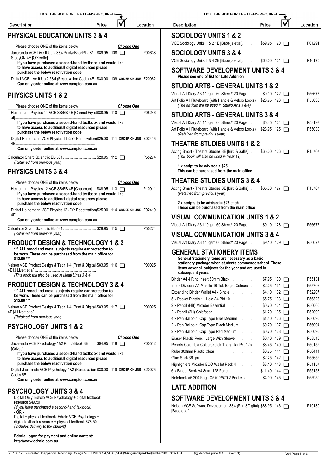| TICK THE BOX FOR THE ITEMS REQUIRED-                                                                                                                          |               |                   |          | <b>TICK THE BO</b>                                                                                        |
|---------------------------------------------------------------------------------------------------------------------------------------------------------------|---------------|-------------------|----------|-----------------------------------------------------------------------------------------------------------|
| <b>Description</b>                                                                                                                                            | Price         |                   | Location | <b>Description</b>                                                                                        |
| <b>PHYSICAL EDUCATION UNITS 3 &amp; 4</b>                                                                                                                     |               |                   |          | <b>SOCIOLOGY UNITS</b>                                                                                    |
| Please choose ONE of the items below                                                                                                                          |               | <b>Choose One</b> |          | VCE Sociology Units 1 & 2 1E [Bab                                                                         |
| Jacaranda VCE Live It Up 2 3&4 Print/eBookPLUS/ \$89.95 108                                                                                                   |               |                   | P00638   | <b>SOCIOLOGY UNITS</b>                                                                                    |
| If you have purchased a second-hand textbook and would like<br>to have access to additional digital resources please<br>purchase the below reactivation code. |               |                   |          | VCE Sociology Units 3 & 4 2E [Bab<br><b>SOFTWARE DEVELO</b>                                               |
| Digital VCE Live It Up 2 3&4 (Reactivation Code) 4E . \$30.00 109 ORDER ONLINE E20082<br>Can only order online at www.campion.com.au                          |               |                   |          | Please see end of list for Late<br><b>STUDIO ARTS - GEN</b>                                               |
| <b>PHYSICS UNITS 1 &amp; 2</b>                                                                                                                                |               |                   |          | Visual Art Diary A3 110gsm 60 She<br>Art Folio A1 Fluteboard (with Handl                                  |
| Please choose ONE of the items below                                                                                                                          |               | <b>Choose One</b> |          | (The art folio will be used in Stu                                                                        |
| Heinemann Physics 11 VCE SB/EB 4E [Carmel Fry et\$88.95 110                                                                                                   |               |                   | P05246   | <b>STUDIO ARTS - GEN</b>                                                                                  |
| If you have purchased a second-hand textbook and would like<br>to have access to additional digital resources please<br>purchase the below reactivation code. |               |                   |          | Visual Art Diary A4 110qsm 60 She<br>Art Folio A1 Fluteboard (with Handl<br>(Retained from previous year) |
| Digital Heinemann VCE Physics 11 (2Yr Reactivation)\$25.00 111 ORDER ONLINE E02415                                                                            |               |                   |          | <b>THEATRE STUDIES</b>                                                                                    |
| Can only order online at www.campion.com.au<br>Calculator Sharp Scientific EL-531 \$28.95 112                                                                 |               |                   | P55274   | Acting Smart - Theatre Studies 8E<br>(This book will also be used in                                      |
| (Retained from previous year)<br><b>PHYSICS UNITS 3 &amp; 4</b>                                                                                               |               |                   |          | 1 x script to be advised = $$25$<br>This can be purchased from t                                          |
|                                                                                                                                                               |               |                   |          | <b>THEATRE STUDIES</b>                                                                                    |
| Please choose ONE of the items below<br>Heinemann Physics 12 VCE SB/EB 4E [Chapman] \$88.95 113                                                               |               | <b>Choose One</b> | P10911   | Acting Smart - Theatre Studies 8E                                                                         |
| If you have purchased a second-hand textbook and would like<br>to have access to additional digital resources please                                          |               |                   |          | (Retained from previous year)                                                                             |
| purchase the below reactivation code.<br>Digital Heinemann VCE Physics 12 (2Yr Reactivation)\$25.00 114 ORDER ONLINE E02419                                   |               |                   |          | 2 x scripts to be advised = $$2$<br>These can be purchased fron                                           |
| Can only order online at www.campion.com.au                                                                                                                   |               |                   |          | <b>VISUAL COMMUNIC,</b>                                                                                   |
| Calculator Sharp Scientific EL-531 \$28.95 115                                                                                                                |               |                   | P55274   | Visual Art Diary A3 110gsm 60 She                                                                         |
| (Retained from previous year)                                                                                                                                 |               |                   |          | <b>VISUAL COMMUNIC.</b>                                                                                   |
| <b>PRODUCT DESIGN &amp; TECHNOLOGY 1 &amp; 2</b>                                                                                                              |               |                   |          | Visual Art Diary A3 110gsm 60 She                                                                         |
| *** ALL wood and metal subjects require ear protection to<br>be worn. These can be purchased from the main office for<br>\$12.00 ***                          |               |                   |          | <b>GENERAL STATION</b><br><b>General Stationery Items are</b>                                             |
| Nelson VCE Product Design & Tech 1-4 (Print & Digital) \$83.95 116<br>(This book will also be used in Metal Units 3 & 4)                                      |               |                   | P00025   | stationery package when stu<br>items cover all subjects for th<br>subsequent years.                       |
|                                                                                                                                                               |               |                   |          | Binder A4 4 Ring Insert 50mm Blac                                                                         |
| <b>PRODUCT DESIGN &amp; TECHNOLOGY 3 &amp; 4</b><br>*** ALL wood and metal subjects require ear protection to                                                 |               |                   |          | Index Dividers A4 Manilla 10 Tab B<br>Expanding Binder Wallet A4 - Singl                                  |
| be worn. These can be purchased from the main office for<br>\$12.00 ***                                                                                       |               |                   |          | 5 x Pocket Plastic 11 Hole A4 Pkt 1                                                                       |
| Nelson VCE Product Design & Tech 1-4 (Print & Digital) \$83.95 117                                                                                            |               |                   | P00025   | 2 x Pencil (HB) Micador Essential<br>2 x Pencil (2H) Goldfaber                                            |
| (Retained from previous year)                                                                                                                                 |               |                   |          | 4 x Pen Ballpoint Cap Type Blue M                                                                         |
| <b>PSYCHOLOGY UNITS 1 &amp; 2</b>                                                                                                                             |               |                   |          | 2 x Pen Ballpoint Cap Type Black N<br>2 x Pen Ballpoint Cap Type Red Me                                   |
| Please choose ONE of the items below                                                                                                                          |               | <u>Choose One</u> |          | Eraser Plastic Pencil Large With SI                                                                       |
| Jacaranda VCE Psychology 1&2 Print/eBook 8E                                                                                                                   | \$94.95 118 □ |                   | P00512   | Pencils Columbia Coloursketch Tria                                                                        |
| If you have purchased a second-hand textbook and would like<br>to have access to additional digital resources please                                          |               |                   |          | Ruler 300mm Plastic Clear<br>Glue Stick 36 gm                                                             |
| purchase the below reactivation code.<br>Digital Jacaranda VCE Psychology 1&2 (Reactivation \$30.00 119 ORDER ONLINE E20075                                   |               |                   |          | Highlighters Micador ECO Wallet P                                                                         |
| Can only order online at www.campion.com.au                                                                                                                   |               |                   |          | 6 x Binder Book A4 8mm 128 Page<br>Notebook A5 200 Page Q570/P570                                         |
|                                                                                                                                                               |               |                   |          | <b>LATE ADDITION</b>                                                                                      |
| <b>PSYCHOLOGY UNITS 3 &amp; 4</b><br>Digital Only: Edrolo VCE Psychology + digital textbook                                                                   |               |                   |          | <b>SOFTWARE DEVELO</b>                                                                                    |
| resource \$49.50<br>(If you have purchased a second-hand textbook)                                                                                            |               |                   |          | Nelson VCE Software Developmen                                                                            |
| - OR -                                                                                                                                                        |               |                   |          |                                                                                                           |
| Digital + physical textbook: Edrolo VCE Psychology +<br>digital textbook resource + physical textbook \$78.50                                                 |               |                   |          |                                                                                                           |

| <b>Description</b>                                                                                                                                                                                                            | Price | Location           |
|-------------------------------------------------------------------------------------------------------------------------------------------------------------------------------------------------------------------------------|-------|--------------------|
| <b>SOCIOLOGY UNITS 1 &amp; 2</b>                                                                                                                                                                                              |       |                    |
| VCE Sociology Units 1 & 2 1E [Babelja et al] \$59.95 120                                                                                                                                                                      |       | P01291             |
| <b>SOCIOLOGY UNITS 3 &amp; 4</b>                                                                                                                                                                                              |       |                    |
| VCE Sociology Units 3 & 4 2E [Babelja et al] \$66.00 121 □                                                                                                                                                                    |       | P16175             |
|                                                                                                                                                                                                                               |       |                    |
| <b>SOFTWARE DEVELOPMENT UNITS 3 &amp; 4</b><br>Please see end of list for Late Addition                                                                                                                                       |       |                    |
| STUDIO ARTS - GENERAL UNITS 1 & 2                                                                                                                                                                                             |       |                    |
| Visual Art Diary A3 110gsm 60 Sheet/120 Page \$9.10 122<br>Art Folio A1 Fluteboard (with Handle & Velcro Locks)  \$28.95 123<br>(The art folio will be used in Studio Arts 3 & 4)                                             |       | P56677<br>P55030   |
| STUDIO ARTS - GENERAL UNITS 3 & 4                                                                                                                                                                                             |       |                    |
| Visual Art Diary A4 110gsm 60 Sheet/120 Page \$5.45 124                                                                                                                                                                       |       | P58197             |
| Art Folio A1 Fluteboard (with Handle & Velcro Locks)  \$28.95 125<br>(Retained from previous year)                                                                                                                            |       | P55030             |
| <b>THEATRE STUDIES UNITS 1 &amp; 2</b>                                                                                                                                                                                        |       |                    |
| Acting Smart - Theatre Studies 8E [Bird & Sallis] \$65.00 126 □<br>(This book will also be used in Year 12)                                                                                                                   |       | P <sub>15707</sub> |
| 1 x script to be advised = $$25$<br>This can be purchased from the main office                                                                                                                                                |       |                    |
| <b>THEATRE STUDIES UNITS 3 &amp; 4</b>                                                                                                                                                                                        |       |                    |
| Acting Smart - Theatre Studies 8E [Bird & Sallis] \$65.00 127<br>(Retained from previous year)                                                                                                                                |       | P15707             |
| 2 x scripts to be advised = \$25 each<br>These can be purchased from the main office                                                                                                                                          |       |                    |
| <b>VISUAL COMMUNICATION UNITS 1 &amp; 2</b>                                                                                                                                                                                   |       |                    |
| Visual Art Diary A3 110gsm 60 Sheet/120 Page \$9.10 128                                                                                                                                                                       |       | P56677             |
| <b>VISUAL COMMUNICATION UNITS 3 &amp; 4</b>                                                                                                                                                                                   |       |                    |
| Visual Art Diary A3 110gsm 60 Sheet/120 Page \$9.10 129                                                                                                                                                                       |       | P56677             |
| <b>GENERAL STATIONERY ITEMS</b><br>General Stationery Items are necessary as a basic<br>stationery package when students commence school. These<br>items cover all subjects for the year and are used in<br>subsequent years. |       |                    |
|                                                                                                                                                                                                                               |       | P55131             |
| Index Dividers A4 Manilla 10 Tab Bright Colours \$2.25 131                                                                                                                                                                    |       | P55706             |
|                                                                                                                                                                                                                               |       | P52207             |
|                                                                                                                                                                                                                               |       | P56328<br>P50006   |
|                                                                                                                                                                                                                               |       | P52092             |
| 4 x Pen Ballpoint Cap Type Blue Medium \$1.40 136                                                                                                                                                                             |       | P56095             |
| 2 x Pen Ballpoint Cap Type Black Medium  \$0.70 137                                                                                                                                                                           |       | P56094             |
| 2 x Pen Ballpoint Cap Type Red Medium \$0.70 138                                                                                                                                                                              |       | P56096             |
| Eraser Plastic Pencil Large With Sleeve \$0.40 139                                                                                                                                                                            |       | P58510             |
| Pencils Columbia Coloursketch Triangular Pkt 12's \$3.45 140                                                                                                                                                                  |       | P50152             |
|                                                                                                                                                                                                                               |       | P56414             |
|                                                                                                                                                                                                                               |       | P55652             |
| Highlighters Micador ECO Wallet Pack 4  \$3.10 143                                                                                                                                                                            |       | P51157             |
| 6 x Binder Book A4 8mm 128 Page  \$11.40 144                                                                                                                                                                                  |       | P55153             |
| Notebook A5 200 Page Q570/P570 2 Pockets  \$4.00 145                                                                                                                                                                          |       | P55959             |
| <b>LATE ADDITION</b>                                                                                                                                                                                                          |       |                    |
| <b>SOFTWARE DEVELOPMENT UNITS 3 &amp; 4</b>                                                                                                                                                                                   |       |                    |
| Nelson VCE Software Development 3&4 (Print&Digital) \$88.95 146                                                                                                                                                               |       | P19130             |
|                                                                                                                                                                                                                               |       |                    |
|                                                                                                                                                                                                                               |       |                    |

TICK THE BOX FOR THE ITEMS REQUIRED

M

*(Includes delivery to the student)*

**Edrolo Logon for payment and online content: http://www.edrolo.com.au**